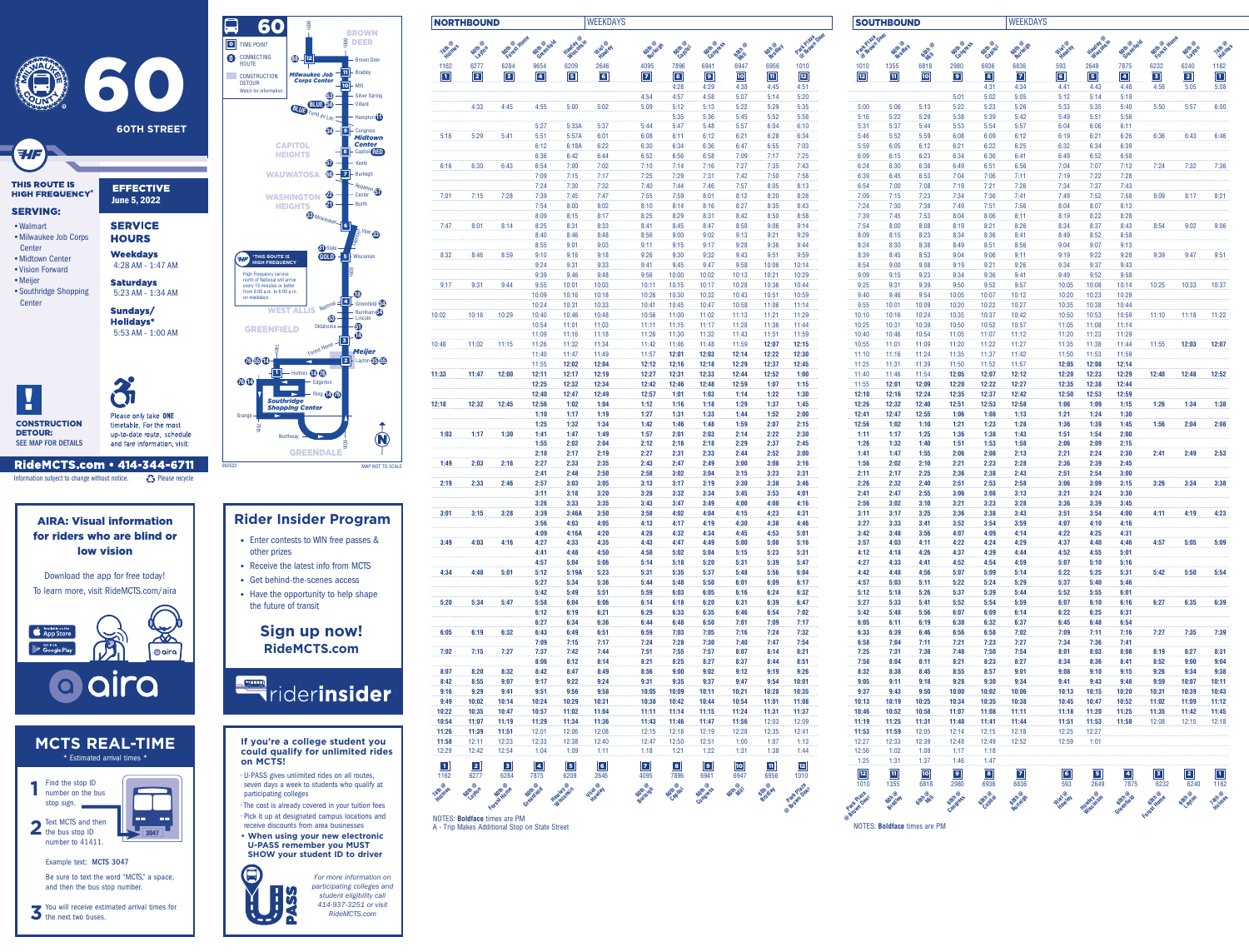| 6277<br>6284<br>$\boxed{2}$<br>$\boxed{3}$<br>4:45<br>4:33<br>5:41<br>5:29<br>6:30<br>6:43<br>7:15<br>7:28<br>8:01<br>8:14<br>8:46<br>8:59<br>9:31<br>9:44<br>10:16<br>10:29<br>11:02 | 9654<br>$\boxed{4}$<br>4:55<br>5:27<br>5:51<br>6:12<br>6:36<br>6:54<br>7:09<br>7:24<br>7:39<br>7:54<br>8:09<br>8:25<br>8:40<br>8:55<br>9:10<br>9:24<br>9:39<br>9:55<br>10:09<br>10:24<br>10:40 | 6209<br>$\boxed{5}$<br>5:00<br>5:33A<br>5:57A<br>6:18A<br>6:42<br>7:00<br>7:15<br>7:30<br>7:45<br>8:00<br>8:15<br>8:31<br>8:46<br>9:01<br>9:16<br>9:31<br>9:46<br>10:01<br>10:16<br>10:31<br>10:46                                                              | 2646<br>$\boxed{6}$<br>5:02<br>5:37<br>6:01<br>6:22<br>6:44<br>7:02<br>7:17<br>7:32<br>7:47<br>8:02<br>8:17<br>8:33<br>8:48<br>9:03<br>9:18<br>9:33<br>9:48<br>10:03<br>10:18<br>10:33                                                                                                                                                                                                                                                                                                                                                                                                                                                                           | <b>Gotheridity</b><br>4095<br>$\boxed{7}$<br>4:54<br>5:09<br>5:44<br>6:08<br>6:30<br>6:52<br>7:10<br>7:25<br>7:40<br>7:55<br>8:10<br>8:25<br>8:41<br>8:56<br>9:11<br>9:26<br>9:41<br>9:56<br>10:11<br>10:26                                                                                                 | 7896<br>$\boxed{8}$<br>4:28<br>4:57<br>5:12<br>5:35<br>5:47<br>6:11<br>6:34<br>6:56<br>7:14<br>7:29<br>7:44<br>7:59<br>8:14<br>8:29<br>8:45<br>9:00<br>9:15<br>9:30<br>9:45<br>10:00 | 6941<br>$\boxed{9}$<br>4:29<br>4:58<br>5:13<br>5:36<br>5:48<br>6:12<br>6:36<br>6:58<br>7:16<br>7:31<br>7:46<br>8:01<br>8:16<br>8:31<br>8:47<br>9:02<br>9:17<br>9:32<br>9:47 | <b>Odin</b><br>6947<br>$\boxed{10}$<br>4:38<br>5:07<br>5:22<br>5:45<br>5:57<br>6:21<br>6:47<br>7:09<br>7:27<br>7:42<br>7:57<br>8:12<br>8:27<br>8:42<br>8:58<br>9:13<br>9:28<br>9:43 | <b>Gott @yley</b><br>6956<br>$\boxed{11}$<br>4:45<br>5:14<br>5:29<br>5:52<br>6:04<br>6:28<br>6:55<br>7:17<br>7:35<br>7:50<br>8:05<br>8:20<br>8:35<br>8:50<br>9:06<br>9:21<br>9:36 | Part Plain Deer<br>1010<br>$\boxed{12}$<br>4:51<br>5:20<br>5:35<br>5:58<br>6:10<br>6:34<br>7:03<br>7:25<br>7:43<br>7:58<br>8:13<br>8:28<br>8:43<br>8:58<br>9:14<br>9:29 | Part Praza Deer<br>1010<br>$\boxed{12}$<br>5:00<br>5:16<br>5:31<br>5:46<br>5:59<br>6:09<br>6:24<br>6:39<br>6:54<br>7:09<br>7:24<br>7:39<br>7:54<br>8:09     | <b>Goth</b> @ey<br>1355<br>$\boxed{11}$<br>5:06<br>5:22<br>5:37<br>5:52<br>6:05<br>6:15<br>6:30<br>6:45<br>7:00<br>7:15<br>7:30<br>7:45<br>8:00<br>8:15 | <b>PONT</b><br>6818<br>10<br>5:13<br>5:29<br>5:44<br>5:59<br>6:12<br>6:23<br>6:38<br>6:53<br>7:08<br>7:23<br>7:38<br>7:53<br>8:08<br>8:23 | 2980<br>$\boxed{9}$<br>5:01<br>5:22<br>5:38<br>5:53<br>6:08<br>6:21<br>6:34<br>6:49<br>7:04<br>7:19<br>7:34<br>7:49<br>8:04<br>8:19       | 6936<br>$\boxed{8}$<br>4:31<br>5:02<br>5:23<br>5:39<br>5:54<br>6:09<br>6:22<br>6:36<br>6:51<br>7:06<br>7:21<br>7:36<br>7:51<br>8:06 | 6836<br>$\boxed{7}$<br>4:34<br>5:05<br>5:26<br>5:42<br>5:57<br>6:12<br>6:25<br>6:41<br>6:56<br>7:11<br>7:26<br>7:41<br>7:56<br>8:11 | 593<br>$\boxed{6}$<br>4:41<br>5:12<br>5:33<br>5:49<br>6:04<br>6:19<br>6:32<br>6:49<br>7:04<br>7:19<br>7:34<br>7:49<br>8:04<br>8:19 | 2649<br>$\boxed{5}$<br>4:43<br>5:14<br>5:35<br>5:51<br>6:06<br>6:21<br>6:34<br>6:52<br>7:07<br>7:22<br>7:37<br>7:52<br>8:07<br>8:22 | 7875<br>$\boxed{4}$<br>4:48<br>5:19<br>5:40<br>5:56<br>6:11<br>6:26<br>6:39<br>6:58<br>7:13<br>7:28<br>7:43<br>7:58<br>8:13<br>8:28 | 6232<br>$\boxed{3}$<br>4:58<br>5:50<br>6:36<br>7:24<br>8:09<br>8:54                                                                        | 6240<br>$\boxed{2}$<br>5:05<br>5:57<br>6:43<br>7:32<br>8:17<br>9:02 | 1162<br>$\boxed{1}$<br>5:08<br>6:00<br>6:46<br>7:36<br>8:21     |
|---------------------------------------------------------------------------------------------------------------------------------------------------------------------------------------|------------------------------------------------------------------------------------------------------------------------------------------------------------------------------------------------|-----------------------------------------------------------------------------------------------------------------------------------------------------------------------------------------------------------------------------------------------------------------|------------------------------------------------------------------------------------------------------------------------------------------------------------------------------------------------------------------------------------------------------------------------------------------------------------------------------------------------------------------------------------------------------------------------------------------------------------------------------------------------------------------------------------------------------------------------------------------------------------------------------------------------------------------|-------------------------------------------------------------------------------------------------------------------------------------------------------------------------------------------------------------------------------------------------------------------------------------------------------------|--------------------------------------------------------------------------------------------------------------------------------------------------------------------------------------|-----------------------------------------------------------------------------------------------------------------------------------------------------------------------------|-------------------------------------------------------------------------------------------------------------------------------------------------------------------------------------|-----------------------------------------------------------------------------------------------------------------------------------------------------------------------------------|-------------------------------------------------------------------------------------------------------------------------------------------------------------------------|-------------------------------------------------------------------------------------------------------------------------------------------------------------|---------------------------------------------------------------------------------------------------------------------------------------------------------|-------------------------------------------------------------------------------------------------------------------------------------------|-------------------------------------------------------------------------------------------------------------------------------------------|-------------------------------------------------------------------------------------------------------------------------------------|-------------------------------------------------------------------------------------------------------------------------------------|------------------------------------------------------------------------------------------------------------------------------------|-------------------------------------------------------------------------------------------------------------------------------------|-------------------------------------------------------------------------------------------------------------------------------------|--------------------------------------------------------------------------------------------------------------------------------------------|---------------------------------------------------------------------|-----------------------------------------------------------------|
|                                                                                                                                                                                       |                                                                                                                                                                                                |                                                                                                                                                                                                                                                                 |                                                                                                                                                                                                                                                                                                                                                                                                                                                                                                                                                                                                                                                                  |                                                                                                                                                                                                                                                                                                             |                                                                                                                                                                                      |                                                                                                                                                                             |                                                                                                                                                                                     |                                                                                                                                                                                   |                                                                                                                                                                         |                                                                                                                                                             |                                                                                                                                                         |                                                                                                                                           |                                                                                                                                           |                                                                                                                                     |                                                                                                                                     |                                                                                                                                    |                                                                                                                                     |                                                                                                                                     |                                                                                                                                            |                                                                     |                                                                 |
|                                                                                                                                                                                       |                                                                                                                                                                                                |                                                                                                                                                                                                                                                                 |                                                                                                                                                                                                                                                                                                                                                                                                                                                                                                                                                                                                                                                                  |                                                                                                                                                                                                                                                                                                             |                                                                                                                                                                                      |                                                                                                                                                                             |                                                                                                                                                                                     |                                                                                                                                                                                   |                                                                                                                                                                         |                                                                                                                                                             |                                                                                                                                                         |                                                                                                                                           |                                                                                                                                           |                                                                                                                                     |                                                                                                                                     |                                                                                                                                    |                                                                                                                                     |                                                                                                                                     |                                                                                                                                            |                                                                     |                                                                 |
|                                                                                                                                                                                       |                                                                                                                                                                                                |                                                                                                                                                                                                                                                                 |                                                                                                                                                                                                                                                                                                                                                                                                                                                                                                                                                                                                                                                                  |                                                                                                                                                                                                                                                                                                             |                                                                                                                                                                                      |                                                                                                                                                                             |                                                                                                                                                                                     |                                                                                                                                                                                   |                                                                                                                                                                         |                                                                                                                                                             |                                                                                                                                                         |                                                                                                                                           |                                                                                                                                           |                                                                                                                                     |                                                                                                                                     |                                                                                                                                    |                                                                                                                                     |                                                                                                                                     |                                                                                                                                            |                                                                     |                                                                 |
|                                                                                                                                                                                       |                                                                                                                                                                                                |                                                                                                                                                                                                                                                                 |                                                                                                                                                                                                                                                                                                                                                                                                                                                                                                                                                                                                                                                                  |                                                                                                                                                                                                                                                                                                             |                                                                                                                                                                                      |                                                                                                                                                                             |                                                                                                                                                                                     |                                                                                                                                                                                   |                                                                                                                                                                         |                                                                                                                                                             |                                                                                                                                                         |                                                                                                                                           |                                                                                                                                           |                                                                                                                                     |                                                                                                                                     |                                                                                                                                    |                                                                                                                                     |                                                                                                                                     |                                                                                                                                            |                                                                     |                                                                 |
|                                                                                                                                                                                       |                                                                                                                                                                                                |                                                                                                                                                                                                                                                                 |                                                                                                                                                                                                                                                                                                                                                                                                                                                                                                                                                                                                                                                                  |                                                                                                                                                                                                                                                                                                             |                                                                                                                                                                                      |                                                                                                                                                                             |                                                                                                                                                                                     |                                                                                                                                                                                   |                                                                                                                                                                         |                                                                                                                                                             |                                                                                                                                                         |                                                                                                                                           |                                                                                                                                           |                                                                                                                                     |                                                                                                                                     |                                                                                                                                    |                                                                                                                                     |                                                                                                                                     |                                                                                                                                            |                                                                     |                                                                 |
|                                                                                                                                                                                       |                                                                                                                                                                                                |                                                                                                                                                                                                                                                                 |                                                                                                                                                                                                                                                                                                                                                                                                                                                                                                                                                                                                                                                                  |                                                                                                                                                                                                                                                                                                             |                                                                                                                                                                                      |                                                                                                                                                                             |                                                                                                                                                                                     |                                                                                                                                                                                   |                                                                                                                                                                         |                                                                                                                                                             |                                                                                                                                                         |                                                                                                                                           |                                                                                                                                           |                                                                                                                                     |                                                                                                                                     |                                                                                                                                    |                                                                                                                                     |                                                                                                                                     |                                                                                                                                            |                                                                     |                                                                 |
|                                                                                                                                                                                       |                                                                                                                                                                                                |                                                                                                                                                                                                                                                                 |                                                                                                                                                                                                                                                                                                                                                                                                                                                                                                                                                                                                                                                                  |                                                                                                                                                                                                                                                                                                             |                                                                                                                                                                                      |                                                                                                                                                                             |                                                                                                                                                                                     |                                                                                                                                                                                   |                                                                                                                                                                         |                                                                                                                                                             |                                                                                                                                                         |                                                                                                                                           |                                                                                                                                           |                                                                                                                                     |                                                                                                                                     |                                                                                                                                    |                                                                                                                                     |                                                                                                                                     |                                                                                                                                            |                                                                     |                                                                 |
|                                                                                                                                                                                       |                                                                                                                                                                                                |                                                                                                                                                                                                                                                                 |                                                                                                                                                                                                                                                                                                                                                                                                                                                                                                                                                                                                                                                                  |                                                                                                                                                                                                                                                                                                             |                                                                                                                                                                                      |                                                                                                                                                                             |                                                                                                                                                                                     |                                                                                                                                                                                   |                                                                                                                                                                         |                                                                                                                                                             |                                                                                                                                                         |                                                                                                                                           |                                                                                                                                           |                                                                                                                                     |                                                                                                                                     |                                                                                                                                    |                                                                                                                                     |                                                                                                                                     |                                                                                                                                            |                                                                     |                                                                 |
|                                                                                                                                                                                       |                                                                                                                                                                                                |                                                                                                                                                                                                                                                                 |                                                                                                                                                                                                                                                                                                                                                                                                                                                                                                                                                                                                                                                                  |                                                                                                                                                                                                                                                                                                             |                                                                                                                                                                                      |                                                                                                                                                                             |                                                                                                                                                                                     |                                                                                                                                                                                   |                                                                                                                                                                         |                                                                                                                                                             |                                                                                                                                                         |                                                                                                                                           |                                                                                                                                           |                                                                                                                                     |                                                                                                                                     |                                                                                                                                    |                                                                                                                                     |                                                                                                                                     |                                                                                                                                            |                                                                     |                                                                 |
|                                                                                                                                                                                       |                                                                                                                                                                                                |                                                                                                                                                                                                                                                                 |                                                                                                                                                                                                                                                                                                                                                                                                                                                                                                                                                                                                                                                                  |                                                                                                                                                                                                                                                                                                             |                                                                                                                                                                                      |                                                                                                                                                                             |                                                                                                                                                                                     |                                                                                                                                                                                   |                                                                                                                                                                         |                                                                                                                                                             |                                                                                                                                                         |                                                                                                                                           | 8:34                                                                                                                                      | 8:21<br>8:36                                                                                                                        | 8:26<br>8:41                                                                                                                        | 8:34<br>8:49                                                                                                                       | 8:37<br>8:52                                                                                                                        | 8:43<br>8:58                                                                                                                        |                                                                                                                                            |                                                                     | 9:06                                                            |
|                                                                                                                                                                                       |                                                                                                                                                                                                |                                                                                                                                                                                                                                                                 |                                                                                                                                                                                                                                                                                                                                                                                                                                                                                                                                                                                                                                                                  |                                                                                                                                                                                                                                                                                                             |                                                                                                                                                                                      |                                                                                                                                                                             |                                                                                                                                                                                     |                                                                                                                                                                                   | 9:44                                                                                                                                                                    | 8:24                                                                                                                                                        | 8:30                                                                                                                                                    | 8:38                                                                                                                                      | 8:49                                                                                                                                      | 8:51                                                                                                                                | 8:56                                                                                                                                | 9:04                                                                                                                               | 9:07                                                                                                                                | 9:13                                                                                                                                |                                                                                                                                            |                                                                     |                                                                 |
|                                                                                                                                                                                       |                                                                                                                                                                                                |                                                                                                                                                                                                                                                                 |                                                                                                                                                                                                                                                                                                                                                                                                                                                                                                                                                                                                                                                                  |                                                                                                                                                                                                                                                                                                             |                                                                                                                                                                                      |                                                                                                                                                                             | 9:58                                                                                                                                                                                | 9:51<br>10:06                                                                                                                                                                     | 9:59<br>10:14                                                                                                                                                           | 8:39<br>8:54                                                                                                                                                | 8:45<br>9:00                                                                                                                                            | 8:53<br>9:08                                                                                                                              | 9:04<br>9:19                                                                                                                              | 9:06<br>9:21                                                                                                                        | 9:11<br>9:26                                                                                                                        | 9:19<br>9:34                                                                                                                       | 9:22<br>9:37                                                                                                                        | 9:28<br>9:43                                                                                                                        | 9:39                                                                                                                                       | 9:47                                                                | 9:51                                                            |
|                                                                                                                                                                                       |                                                                                                                                                                                                |                                                                                                                                                                                                                                                                 |                                                                                                                                                                                                                                                                                                                                                                                                                                                                                                                                                                                                                                                                  |                                                                                                                                                                                                                                                                                                             | 10:15                                                                                                                                                                                | 10:02<br>10:17                                                                                                                                                              | 10:13<br>10:28                                                                                                                                                                      | 10:21<br>10:36                                                                                                                                                                    | 10:29<br>10:44                                                                                                                                                          | 9:09<br>9:25                                                                                                                                                | 9:15<br>9:31                                                                                                                                            | 9:23<br>9:39                                                                                                                              | 9:34<br>9:50                                                                                                                              | 9:36<br>9:52                                                                                                                        | 9:41<br>9:57                                                                                                                        | 9:49<br>10:05                                                                                                                      | 9:52<br>10:08                                                                                                                       | 9:58<br>10:14                                                                                                                       | 10:25                                                                                                                                      | 10:33                                                               | 10:37                                                           |
|                                                                                                                                                                                       |                                                                                                                                                                                                |                                                                                                                                                                                                                                                                 |                                                                                                                                                                                                                                                                                                                                                                                                                                                                                                                                                                                                                                                                  | 10:41                                                                                                                                                                                                                                                                                                       | 10:30<br>10:45                                                                                                                                                                       | 10:32<br>10:47                                                                                                                                                              | 10:43<br>10:58                                                                                                                                                                      | 10:51<br>11:06                                                                                                                                                                    | 10:59<br>11:14                                                                                                                                                          | 9:40<br>9:55                                                                                                                                                | 9:46<br>10:01                                                                                                                                           | 9:54<br>10:09                                                                                                                             | 10:05<br>10:20                                                                                                                            | 10:07<br>10:22                                                                                                                      | 10:12<br>10:27                                                                                                                      | 10:20<br>10:35                                                                                                                     | 10:23<br>10:38                                                                                                                      | 10:29<br>10:44                                                                                                                      |                                                                                                                                            |                                                                     |                                                                 |
|                                                                                                                                                                                       |                                                                                                                                                                                                |                                                                                                                                                                                                                                                                 | 10:48                                                                                                                                                                                                                                                                                                                                                                                                                                                                                                                                                                                                                                                            | 10:56                                                                                                                                                                                                                                                                                                       | 11:00                                                                                                                                                                                | 11:02                                                                                                                                                                       | 11:13                                                                                                                                                                               | 11:21                                                                                                                                                                             | 11:29                                                                                                                                                                   | 10:10                                                                                                                                                       | 10:16                                                                                                                                                   | 10:24                                                                                                                                     | 10:35                                                                                                                                     | 10:37                                                                                                                               | 10:42                                                                                                                               | 10:50                                                                                                                              | 10:53                                                                                                                               | 10:59                                                                                                                               | 11:10                                                                                                                                      | 11:18                                                               | 11:22                                                           |
|                                                                                                                                                                                       |                                                                                                                                                                                                |                                                                                                                                                                                                                                                                 | 11:18                                                                                                                                                                                                                                                                                                                                                                                                                                                                                                                                                                                                                                                            | 11:26                                                                                                                                                                                                                                                                                                       | 11:30                                                                                                                                                                                | 11:32                                                                                                                                                                       | 11:43                                                                                                                                                                               | 11:51                                                                                                                                                                             | 11:59                                                                                                                                                                   | 10:40                                                                                                                                                       | 10:46                                                                                                                                                   | 10:54                                                                                                                                     | 11:05                                                                                                                                     | 11:07                                                                                                                               | 11:12                                                                                                                               | 11:20                                                                                                                              | 11:23                                                                                                                               | 11:29                                                                                                                               |                                                                                                                                            |                                                                     |                                                                 |
|                                                                                                                                                                                       |                                                                                                                                                                                                |                                                                                                                                                                                                                                                                 | 11:34                                                                                                                                                                                                                                                                                                                                                                                                                                                                                                                                                                                                                                                            | 11:42<br>11:57                                                                                                                                                                                                                                                                                              | 11:46                                                                                                                                                                                | 11:48<br>12:03                                                                                                                                                              | 11:59<br>12:14                                                                                                                                                                      | 12:07<br>12:22                                                                                                                                                                    | 12:15                                                                                                                                                                   | 10:55<br>11:10                                                                                                                                              | 11:01                                                                                                                                                   | 11:09                                                                                                                                     | 11:20<br>11:35                                                                                                                            | 11:22                                                                                                                               | 11:27<br>11:42                                                                                                                      | 11:35<br>11:50                                                                                                                     | 11:38                                                                                                                               | 11:44                                                                                                                               | 11:55                                                                                                                                      | 12:03                                                               | 12:07                                                           |
|                                                                                                                                                                                       |                                                                                                                                                                                                |                                                                                                                                                                                                                                                                 | 12:04                                                                                                                                                                                                                                                                                                                                                                                                                                                                                                                                                                                                                                                            | 12:12                                                                                                                                                                                                                                                                                                       | 12:16                                                                                                                                                                                | 12:18                                                                                                                                                                       | 12:29                                                                                                                                                                               | 12:37                                                                                                                                                                             | 12:45                                                                                                                                                                   | 11:25                                                                                                                                                       | 11:31                                                                                                                                                   | 11:39                                                                                                                                     | 11:50                                                                                                                                     | 11:52                                                                                                                               | 11:57                                                                                                                               | 12:05                                                                                                                              | 12:08                                                                                                                               | 12:14                                                                                                                               |                                                                                                                                            |                                                                     | 12:52                                                           |
|                                                                                                                                                                                       |                                                                                                                                                                                                |                                                                                                                                                                                                                                                                 | 12:34                                                                                                                                                                                                                                                                                                                                                                                                                                                                                                                                                                                                                                                            | 12:42                                                                                                                                                                                                                                                                                                       | 12:46                                                                                                                                                                                | 12:48                                                                                                                                                                       | 12:59                                                                                                                                                                               | 1:07                                                                                                                                                                              | 1:15                                                                                                                                                                    | 11:55                                                                                                                                                       | 12:01                                                                                                                                                   | 12:09                                                                                                                                     | 12:20                                                                                                                                     | 12:22                                                                                                                               | 12:27                                                                                                                               | 12:35                                                                                                                              | 12:38                                                                                                                               | 12:44                                                                                                                               |                                                                                                                                            |                                                                     |                                                                 |
| 12:32                                                                                                                                                                                 |                                                                                                                                                                                                |                                                                                                                                                                                                                                                                 | 1:04                                                                                                                                                                                                                                                                                                                                                                                                                                                                                                                                                                                                                                                             | 1:12                                                                                                                                                                                                                                                                                                        | 1:16                                                                                                                                                                                 | 1:18                                                                                                                                                                        | 1:29                                                                                                                                                                                | 1:37                                                                                                                                                                              | 1:45                                                                                                                                                                    | 12:26                                                                                                                                                       | 12:32                                                                                                                                                   | 12:40                                                                                                                                     | 12:51                                                                                                                                     | 12:53                                                                                                                               | 12:58                                                                                                                               | 1:06                                                                                                                               | 1:09                                                                                                                                | 1:15                                                                                                                                | 1:26                                                                                                                                       | 1:34                                                                | 1:38                                                            |
|                                                                                                                                                                                       |                                                                                                                                                                                                |                                                                                                                                                                                                                                                                 | 1:19                                                                                                                                                                                                                                                                                                                                                                                                                                                                                                                                                                                                                                                             | 1:27                                                                                                                                                                                                                                                                                                        | 1:31                                                                                                                                                                                 | 1:33                                                                                                                                                                        | 1:44                                                                                                                                                                                | 1:52                                                                                                                                                                              | 2:00                                                                                                                                                                    | 12:41                                                                                                                                                       | 12:47                                                                                                                                                   | 12:55                                                                                                                                     | 1:06                                                                                                                                      | 1:08                                                                                                                                | 1:13                                                                                                                                | 1:21                                                                                                                               | 1:24                                                                                                                                | 1:30                                                                                                                                |                                                                                                                                            |                                                                     | 2:08                                                            |
| 1:17                                                                                                                                                                                  |                                                                                                                                                                                                |                                                                                                                                                                                                                                                                 | 1:49                                                                                                                                                                                                                                                                                                                                                                                                                                                                                                                                                                                                                                                             | 1:57                                                                                                                                                                                                                                                                                                        | 2:01                                                                                                                                                                                 | 2:03                                                                                                                                                                        | 2:14                                                                                                                                                                                | 2:22                                                                                                                                                                              | 2:30                                                                                                                                                                    | 1:11                                                                                                                                                        | 1:17                                                                                                                                                    | 1:25                                                                                                                                      | 1:36                                                                                                                                      | 1:38                                                                                                                                | 1:43                                                                                                                                | 1:51                                                                                                                               | 1:54                                                                                                                                | 2:00                                                                                                                                |                                                                                                                                            |                                                                     |                                                                 |
|                                                                                                                                                                                       |                                                                                                                                                                                                |                                                                                                                                                                                                                                                                 | 2:19                                                                                                                                                                                                                                                                                                                                                                                                                                                                                                                                                                                                                                                             | 2:27                                                                                                                                                                                                                                                                                                        | 2:31                                                                                                                                                                                 | 2:33                                                                                                                                                                        | 2:44                                                                                                                                                                                | 2:52                                                                                                                                                                              | 3:00                                                                                                                                                                    | 1:41                                                                                                                                                        | 1:47                                                                                                                                                    | 1:55                                                                                                                                      | 2:06                                                                                                                                      | 2:08                                                                                                                                | 2:13                                                                                                                                | 2:21                                                                                                                               | 2:24                                                                                                                                | 2:30                                                                                                                                | 2:41                                                                                                                                       | 2:49                                                                | 2:53                                                            |
| 2:03                                                                                                                                                                                  |                                                                                                                                                                                                |                                                                                                                                                                                                                                                                 | 2:50                                                                                                                                                                                                                                                                                                                                                                                                                                                                                                                                                                                                                                                             | 2:58                                                                                                                                                                                                                                                                                                        | 3:02                                                                                                                                                                                 | 3:04                                                                                                                                                                        | 3:15                                                                                                                                                                                | 3:23                                                                                                                                                                              | 3:31                                                                                                                                                                    | 1:56<br>2:11                                                                                                                                                | 2:17                                                                                                                                                    | 2:25                                                                                                                                      | 2:36                                                                                                                                      | 2:23<br>2:38                                                                                                                        | 2:43                                                                                                                                | 2:51                                                                                                                               | 2:39<br>2:54                                                                                                                        | 3:00                                                                                                                                |                                                                                                                                            |                                                                     |                                                                 |
| 2:33                                                                                                                                                                                  |                                                                                                                                                                                                |                                                                                                                                                                                                                                                                 | 3:05                                                                                                                                                                                                                                                                                                                                                                                                                                                                                                                                                                                                                                                             | 3:13                                                                                                                                                                                                                                                                                                        | 3:17                                                                                                                                                                                 | 3:19                                                                                                                                                                        | 3:30                                                                                                                                                                                | 3:38                                                                                                                                                                              | 3:46                                                                                                                                                                    | 2:26                                                                                                                                                        | 2:32                                                                                                                                                    | 2:40                                                                                                                                      | 2:51                                                                                                                                      | 2:53                                                                                                                                | 2:58                                                                                                                                | 3:06                                                                                                                               | 3:09                                                                                                                                | 3:15                                                                                                                                | 3:26                                                                                                                                       | 3:34                                                                | 3:38                                                            |
|                                                                                                                                                                                       |                                                                                                                                                                                                |                                                                                                                                                                                                                                                                 | 3:35                                                                                                                                                                                                                                                                                                                                                                                                                                                                                                                                                                                                                                                             | 3:43                                                                                                                                                                                                                                                                                                        | 3:47                                                                                                                                                                                 | 3:49                                                                                                                                                                        | 4:00                                                                                                                                                                                | 4:08                                                                                                                                                                              | 4:16                                                                                                                                                                    | 2:56                                                                                                                                                        | 3:02                                                                                                                                                    | 3:10                                                                                                                                      | 3:21                                                                                                                                      | 3:23                                                                                                                                | 3:28                                                                                                                                | 3:36                                                                                                                               | 3:39                                                                                                                                | 3:45                                                                                                                                |                                                                                                                                            |                                                                     |                                                                 |
|                                                                                                                                                                                       |                                                                                                                                                                                                |                                                                                                                                                                                                                                                                 | 4:05                                                                                                                                                                                                                                                                                                                                                                                                                                                                                                                                                                                                                                                             | 4:13                                                                                                                                                                                                                                                                                                        | 4:17                                                                                                                                                                                 | 4:19                                                                                                                                                                        | 4:30                                                                                                                                                                                | 4:38                                                                                                                                                                              | 4:46                                                                                                                                                                    | 3:27                                                                                                                                                        | 3:33                                                                                                                                                    | 3:41                                                                                                                                      | 3:52                                                                                                                                      | 3:54                                                                                                                                | 3:59                                                                                                                                | 4:07                                                                                                                               | 4:10                                                                                                                                | 4:16                                                                                                                                |                                                                                                                                            |                                                                     | 4:23                                                            |
| 4:03                                                                                                                                                                                  |                                                                                                                                                                                                |                                                                                                                                                                                                                                                                 | 4:20<br>4:35                                                                                                                                                                                                                                                                                                                                                                                                                                                                                                                                                                                                                                                     | 4:28<br>4:43                                                                                                                                                                                                                                                                                                | 4:32<br>4:47                                                                                                                                                                         | 4:34<br>4:49                                                                                                                                                                | 4:45<br>5:00                                                                                                                                                                        | 4:53<br>5:08                                                                                                                                                                      | 5:01<br>5:16                                                                                                                                                            | 3:42<br>3:57                                                                                                                                                | 3:48<br>4:03                                                                                                                                            | 3:56<br>4:11                                                                                                                              | 4:07<br>4:22                                                                                                                              | 4:09<br>4:24                                                                                                                        | 4:14<br>4:29                                                                                                                        | 4:22<br>4:37                                                                                                                       | 4:25<br>4:40                                                                                                                        | 4:31<br>4:46                                                                                                                        | 4:57                                                                                                                                       | 5:05                                                                | 5:09                                                            |
|                                                                                                                                                                                       |                                                                                                                                                                                                |                                                                                                                                                                                                                                                                 | 4:50                                                                                                                                                                                                                                                                                                                                                                                                                                                                                                                                                                                                                                                             | 4:58                                                                                                                                                                                                                                                                                                        | 5:02                                                                                                                                                                                 | 5:04                                                                                                                                                                        | 5:15                                                                                                                                                                                | 5:23                                                                                                                                                                              | 5:31                                                                                                                                                                    | 4:12                                                                                                                                                        | 4:18                                                                                                                                                    | 4:26                                                                                                                                      | 4:37                                                                                                                                      | 4:39                                                                                                                                | 4:44                                                                                                                                | 4:52                                                                                                                               | 4:55                                                                                                                                | 5:01                                                                                                                                |                                                                                                                                            |                                                                     |                                                                 |
| 4:48                                                                                                                                                                                  |                                                                                                                                                                                                |                                                                                                                                                                                                                                                                 | 5:23                                                                                                                                                                                                                                                                                                                                                                                                                                                                                                                                                                                                                                                             | 5:31                                                                                                                                                                                                                                                                                                        | 5:35                                                                                                                                                                                 | 5:37                                                                                                                                                                        | 5:48                                                                                                                                                                                | 5:56                                                                                                                                                                              | 6:04                                                                                                                                                                    | 4:42                                                                                                                                                        | 4:48                                                                                                                                                    | 4:56                                                                                                                                      | 5:07                                                                                                                                      | 5:09                                                                                                                                | 5:14                                                                                                                                | 5:22                                                                                                                               | 5:25                                                                                                                                | 5:31                                                                                                                                | 5:42                                                                                                                                       | 5:50                                                                | 5:54                                                            |
|                                                                                                                                                                                       |                                                                                                                                                                                                |                                                                                                                                                                                                                                                                 | 5:51                                                                                                                                                                                                                                                                                                                                                                                                                                                                                                                                                                                                                                                             | 5:59                                                                                                                                                                                                                                                                                                        | 6:03                                                                                                                                                                                 | 6:05                                                                                                                                                                        | 6:16                                                                                                                                                                                | 6:24                                                                                                                                                                              | 6:32                                                                                                                                                                    | 5:12                                                                                                                                                        | 5:18                                                                                                                                                    | 5:26                                                                                                                                      | 5:37                                                                                                                                      | 5:39                                                                                                                                | 5:44                                                                                                                                | 5:52                                                                                                                               | 5:55                                                                                                                                | 6:01                                                                                                                                |                                                                                                                                            |                                                                     |                                                                 |
| 5:34                                                                                                                                                                                  |                                                                                                                                                                                                |                                                                                                                                                                                                                                                                 | 6:06<br>6:21                                                                                                                                                                                                                                                                                                                                                                                                                                                                                                                                                                                                                                                     | 6:14<br>6:29                                                                                                                                                                                                                                                                                                | 6:18<br>6:33                                                                                                                                                                         | 6:20<br>6:35                                                                                                                                                                | 6:31<br>6:46                                                                                                                                                                        | 6:39<br>6:54                                                                                                                                                                      | 6:47                                                                                                                                                                    | 5:27<br>5:42                                                                                                                                                | 5:33<br>5:48                                                                                                                                            | 5:41<br>5:56                                                                                                                              | 5:52<br>6:07                                                                                                                              | 5:54<br>6:09                                                                                                                        | 5:59<br>6:14                                                                                                                        | 6:07<br>6:22                                                                                                                       | 6:10<br>6:25                                                                                                                        | 6:16<br>6:31                                                                                                                        | 6:27                                                                                                                                       | 6:35                                                                | 6:39                                                            |
|                                                                                                                                                                                       |                                                                                                                                                                                                |                                                                                                                                                                                                                                                                 | 6:36                                                                                                                                                                                                                                                                                                                                                                                                                                                                                                                                                                                                                                                             | 6:44                                                                                                                                                                                                                                                                                                        | 6:48                                                                                                                                                                                 | 6:50                                                                                                                                                                        | 7:01                                                                                                                                                                                | 7:09                                                                                                                                                                              | 7:17                                                                                                                                                                    | 6:05                                                                                                                                                        | 6:11                                                                                                                                                    | 6:19                                                                                                                                      | 6:30                                                                                                                                      | 6:32                                                                                                                                | 6:37                                                                                                                                | 6:45                                                                                                                               | 6:48                                                                                                                                | 6:54                                                                                                                                |                                                                                                                                            |                                                                     | 7:39                                                            |
|                                                                                                                                                                                       |                                                                                                                                                                                                |                                                                                                                                                                                                                                                                 | 7:17                                                                                                                                                                                                                                                                                                                                                                                                                                                                                                                                                                                                                                                             | 7:24                                                                                                                                                                                                                                                                                                        | 7:28                                                                                                                                                                                 | 7:30                                                                                                                                                                        | 7:40                                                                                                                                                                                | 7:47                                                                                                                                                                              | 7:54                                                                                                                                                                    | 6:58                                                                                                                                                        | 7:04                                                                                                                                                    | 7:11                                                                                                                                      | 7:21                                                                                                                                      | 7:23                                                                                                                                | 7:27                                                                                                                                | 7:34                                                                                                                               | 7:36                                                                                                                                | 7:41                                                                                                                                |                                                                                                                                            |                                                                     |                                                                 |
| 7:15                                                                                                                                                                                  |                                                                                                                                                                                                |                                                                                                                                                                                                                                                                 | 8:14                                                                                                                                                                                                                                                                                                                                                                                                                                                                                                                                                                                                                                                             | 8:21                                                                                                                                                                                                                                                                                                        | 8:25                                                                                                                                                                                 | 8:27                                                                                                                                                                        | 8:37                                                                                                                                                                                | 8:44                                                                                                                                                                              | 8:51                                                                                                                                                                    | 7:58                                                                                                                                                        | 8:04                                                                                                                                                    | 8:11                                                                                                                                      | 8:21                                                                                                                                      | 8:23                                                                                                                                | 8:27                                                                                                                                | 8:34                                                                                                                               | 8:36                                                                                                                                | 8:41                                                                                                                                | 8:52                                                                                                                                       | 9:00                                                                | 8:31<br>9:04                                                    |
| 8:20                                                                                                                                                                                  |                                                                                                                                                                                                |                                                                                                                                                                                                                                                                 | 8:49                                                                                                                                                                                                                                                                                                                                                                                                                                                                                                                                                                                                                                                             | 8:56                                                                                                                                                                                                                                                                                                        | 9:00                                                                                                                                                                                 | 9:02                                                                                                                                                                        | 9:12                                                                                                                                                                                | 9:19                                                                                                                                                                              | 9:26                                                                                                                                                                    | 8:32                                                                                                                                                        | 8:38                                                                                                                                                    | 8:45                                                                                                                                      | 8:55                                                                                                                                      | 8:57                                                                                                                                | 9:01                                                                                                                                | 9:08                                                                                                                               | 9:10                                                                                                                                | 9:15                                                                                                                                | 9:26                                                                                                                                       | 9:34                                                                | 9:38<br>10:11                                                   |
| 9:29                                                                                                                                                                                  |                                                                                                                                                                                                |                                                                                                                                                                                                                                                                 | 9:58                                                                                                                                                                                                                                                                                                                                                                                                                                                                                                                                                                                                                                                             | 10:05                                                                                                                                                                                                                                                                                                       | 10:09                                                                                                                                                                                | 10:11                                                                                                                                                                       | 10:21                                                                                                                                                                               | 10:28                                                                                                                                                                             | 10:35                                                                                                                                                                   | 9:37                                                                                                                                                        | 9:43                                                                                                                                                    | 9:50                                                                                                                                      | 10:00                                                                                                                                     | 10:02                                                                                                                               | 10:06                                                                                                                               | 10:13                                                                                                                              | 10:15                                                                                                                               | 10:20                                                                                                                               | 10:31                                                                                                                                      | 10:39                                                               | 10:43                                                           |
| 10:35                                                                                                                                                                                 |                                                                                                                                                                                                |                                                                                                                                                                                                                                                                 | 11:04                                                                                                                                                                                                                                                                                                                                                                                                                                                                                                                                                                                                                                                            | 11:11                                                                                                                                                                                                                                                                                                       | 11:14                                                                                                                                                                                | 11:15                                                                                                                                                                       | 11:24                                                                                                                                                                               | 11:31                                                                                                                                                                             | 11:37                                                                                                                                                                   | 10:46                                                                                                                                                       | 10:52                                                                                                                                                   | 10:58                                                                                                                                     | 11:07                                                                                                                                     | 11:08                                                                                                                               | 11:11                                                                                                                               | 11:18                                                                                                                              | 11:20                                                                                                                               |                                                                                                                                     | 11:35                                                                                                                                      | 11:42                                                               | 11:12<br>11:45                                                  |
| 11:07<br>11:39                                                                                                                                                                        |                                                                                                                                                                                                |                                                                                                                                                                                                                                                                 | 11:36<br>12:08                                                                                                                                                                                                                                                                                                                                                                                                                                                                                                                                                                                                                                                   | 11:43<br>12:15                                                                                                                                                                                                                                                                                              | 11:46<br>12:18                                                                                                                                                                       | 11:47<br>12:19                                                                                                                                                              | 11:56<br>12:28                                                                                                                                                                      | 12:03<br>12:35                                                                                                                                                                    | 12:09<br>12:41                                                                                                                                                          | 11:19<br>11:53                                                                                                                                              | 11:25<br>11:59                                                                                                                                          | 11:31<br>12:05                                                                                                                            | 11:40<br>12:14                                                                                                                            | 11:41<br>12:15                                                                                                                      | 11:44<br>12:18                                                                                                                      | 11:51<br>12:25                                                                                                                     | 11:53                                                                                                                               | 11:58                                                                                                                               | 12:08                                                                                                                                      | 12:15                                                               | 12:18                                                           |
| 12:11                                                                                                                                                                                 |                                                                                                                                                                                                |                                                                                                                                                                                                                                                                 | 12:40                                                                                                                                                                                                                                                                                                                                                                                                                                                                                                                                                                                                                                                            | 12:47                                                                                                                                                                                                                                                                                                       | 12:50                                                                                                                                                                                | 12:51                                                                                                                                                                       | 1:00                                                                                                                                                                                | 1:07                                                                                                                                                                              | 1:13                                                                                                                                                                    | 12:27                                                                                                                                                       | 12:33                                                                                                                                                   | 12:39                                                                                                                                     | 12:48                                                                                                                                     | 12:49                                                                                                                               | 12:52                                                                                                                               | 12:59                                                                                                                              | 1:01                                                                                                                                |                                                                                                                                     |                                                                                                                                            |                                                                     |                                                                 |
| 2                                                                                                                                                                                     |                                                                                                                                                                                                |                                                                                                                                                                                                                                                                 |                                                                                                                                                                                                                                                                                                                                                                                                                                                                                                                                                                                                                                                                  |                                                                                                                                                                                                                                                                                                             |                                                                                                                                                                                      | 9                                                                                                                                                                           |                                                                                                                                                                                     | 11                                                                                                                                                                                |                                                                                                                                                                         | 1:25                                                                                                                                                        | 1:31                                                                                                                                                    | 1:37                                                                                                                                      | 1:46                                                                                                                                      | 1:47                                                                                                                                |                                                                                                                                     |                                                                                                                                    |                                                                                                                                     |                                                                                                                                     |                                                                                                                                            |                                                                     |                                                                 |
| 6277                                                                                                                                                                                  | 7875                                                                                                                                                                                           | 6209                                                                                                                                                                                                                                                            | 2646                                                                                                                                                                                                                                                                                                                                                                                                                                                                                                                                                                                                                                                             | 4095                                                                                                                                                                                                                                                                                                        | 7896                                                                                                                                                                                 | 6941                                                                                                                                                                        | 6947                                                                                                                                                                                | 6956                                                                                                                                                                              | 1010                                                                                                                                                                    | $\boxed{12}$                                                                                                                                                | $\boxed{11}$                                                                                                                                            | $\overline{10}$                                                                                                                           | $\boxed{9}$                                                                                                                               | $\boxed{8}$                                                                                                                         | $\boxed{7}$                                                                                                                         | $\boxed{6}$<br>593                                                                                                                 | $\boxed{5}$                                                                                                                         | $\boxed{4}$                                                                                                                         | 3                                                                                                                                          | $\boxed{2}$                                                         | $\boxed{1}$<br>1162                                             |
|                                                                                                                                                                                       |                                                                                                                                                                                                |                                                                                                                                                                                                                                                                 |                                                                                                                                                                                                                                                                                                                                                                                                                                                                                                                                                                                                                                                                  |                                                                                                                                                                                                                                                                                                             |                                                                                                                                                                                      |                                                                                                                                                                             |                                                                                                                                                                                     |                                                                                                                                                                                   |                                                                                                                                                                         |                                                                                                                                                             |                                                                                                                                                         |                                                                                                                                           |                                                                                                                                           |                                                                                                                                     |                                                                                                                                     |                                                                                                                                    |                                                                                                                                     |                                                                                                                                     |                                                                                                                                            |                                                                     | <b>TAIN @ss</b>                                                 |
|                                                                                                                                                                                       | 11:47<br>3:15<br>6:19<br>8:55<br>10:02<br>12:42                                                                                                                                                | 11:15<br>12:00<br>12:45<br>1:30<br>2:16<br>2:46<br>3:28<br>4:16<br>5:01<br>5:47<br>6:32<br>7:27<br>8:32<br>9:07<br>9:41<br>10:14<br>10:47<br>11:19<br>11:51<br>12:23<br>12:54<br>$\vert$ 4 $\vert$<br>$\sqrt{3}$<br>6284<br><b>NOTES: Boldface times are PM</b> | 10:54<br>11:01<br>11:09<br>11:16<br>11:26<br>11:32<br>11:40<br>11:47<br>11:55<br>12:02<br>12:11<br>12:17<br>12:25<br>12:32<br>12:40<br>12:47<br>1:02<br>12:56<br>1:10<br>1:17<br>1:25<br>1:41<br>1:47<br>1:55<br>2:10<br>2:17<br>2:27<br>2:33<br>2:41<br>2:48<br>2:57<br>3:03<br>3:11<br>3:26<br>3:39<br>3:56<br>4:09<br>4:27<br>4:33<br>4:48<br>4:41<br>4:57<br>5:12<br>5:27<br>5:42<br>5:58<br>6:12<br>6:27<br>6:43<br>7:09<br>7:37<br>8:06<br>8:42<br>8:47<br>9:17<br>9:51<br>9:56<br>10:24<br>10:29<br>10:57<br>11:02<br>11:29<br>11:34<br>12:01<br>12:06<br>12:33<br>12:38<br>1:04<br>1:09<br>$\boxed{5}$<br>1 - Trin Makes Additional Ston on State Street | 11:03<br>11:49<br>12:19<br>12:49<br>1:32<br>1:34<br>2:02<br>2:04<br>2:35<br>3:18<br>3:20<br>3:33<br>3:46A<br>3:50<br>4:03<br>4:16A<br>5:04<br>5:06<br>5:19A<br>5:34<br>5:36<br>5:49<br>6:04<br>6:19<br>6:34<br>6:49<br>6:51<br>7:15<br>7:42<br>7:44<br>8:12<br>9:22<br>9:24<br>10:31<br>1:11<br>$\boxed{6}$ | 11:11<br>12:27<br>12:57<br>1:42<br>2:12<br>2:43<br>3:28<br>3:58<br>5:14<br>5:44<br>6:59<br>7:51<br>9:31<br>10:38<br>1:18<br>$\vert$ 7 $\vert$                                        | 11:15<br>12:01<br>12:31<br>1:01<br>1:46<br>2:16<br>2:47<br>3:32<br>4:02<br>5:18<br>5:48<br>7:03<br>7:55<br>9:35<br>10:42<br>1:21<br>$\boxed{8}$                             | 11:17<br>12:33<br>1:03<br>1:48<br>2:18<br>2:49<br>3:34<br>4:04<br>5:20<br>5:50<br>7:05<br>7:57<br>9:37<br>10:44<br>1:22                                                             | 11:28<br>12:44<br>1:14<br>1:59<br>2:29<br>3:00<br>3:45<br>4:15<br>5:31<br>6:01<br>7:16<br>8:07<br>9:47<br>10:54<br>1:31<br>$\overline{10}$                                        | 11:36<br>12:52<br>1:22<br>2:07<br>2:37<br>3:08<br>3:53<br>4:23<br>5:39<br>6:09<br>7:24<br>8:14<br>9:54<br>11:01<br>1:38                                                 | 11:44<br>12:30<br>1:00<br>1:30<br>2:15<br>2:45<br>3:16<br>4:01<br>4:31<br>5:47<br>6:17<br>7:02<br>7:32<br>8:21<br>10:01<br>11:08<br>1:44<br>$\overline{12}$ | 10:25<br>11:40<br>12:10<br>12:56<br>1:26<br>2:41<br>3:11<br>4:27<br>4:57<br>6:33<br>7:25<br>9:05<br>10:13<br>12:56<br>1010                              | 10:31<br>11:16<br>11:46<br>12:16<br>1:02<br>1:32<br>2:02<br>2:47<br>3:17<br>4:33<br>5:03<br>6:39<br>7:31<br>9:11<br>10:19<br>1:02<br>1355 | 10:39<br>11:24<br>11:54<br>12:24<br>1:10<br>1:40<br>2:10<br>2:55<br>3:25<br>4:41<br>5:11<br>6:46<br>7:38<br>9:18<br>10:25<br>1:08<br>6818 | 10:50<br>12:05<br>12:35<br>1:21<br>1:51<br>2:21<br>3:06<br>3:36<br>4:52<br>5:22<br>6:56<br>7:48<br>9:28<br>10:34<br>1:17<br>2980    | 10:52<br>11:37<br>12:07<br>12:37<br>1:23<br>1:53<br>3:08<br>3:38<br>4:54<br>5:24<br>6:58<br>7:50<br>9:30<br>10:35<br>1:18<br>6936   | 10:57<br>12:12<br>12:42<br>1:28<br>1:58<br>2:28<br>3:13<br>3:43<br>4:59<br>5:29<br>7:02<br>7:54<br>9:34<br>10:38<br>6836           | 11:05<br>12:20<br>12:50<br>1:36<br>2:06<br>2:36<br>3:21<br>3:51<br>5:07<br>5:37<br>7:09<br>8:01<br>9:41<br>10:45                    | 11:08<br>11:53<br>12:23<br>12:53<br>1:39<br>2:09<br>3:24<br>3:54<br>5:10<br>5:40<br>7:11<br>8:03<br>9:43<br>10:47<br>12:27<br>2649  | 11:14<br>11:59<br>12:29<br>12:59<br>1:45<br>2:15<br>2:45<br>3:30<br>4:00<br>5:16<br>5:46<br>7:16<br>8:08<br>9:48<br>10:52<br>11:25<br>7875 | 12:40<br>1:56<br>4:11<br>7:27<br>8:19<br>9:59<br>11:02<br>6232      | 12:48<br>2:04<br>4:19<br>7:35<br>8:27<br>10:07<br>11:09<br>6240 |